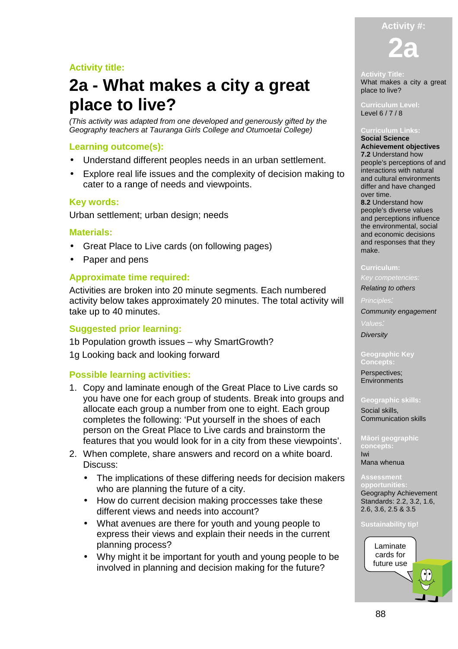# **Activity #:**

**2a** 

# **Activity title:**

# **2a - What makes a city a great place to live?**

(This activity was adapted from one developed and generously gifted by the Geography teachers at Tauranga Girls College and Otumoetai College)

# **Learning outcome(s):**

- Understand different peoples needs in an urban settlement.
- Explore real life issues and the complexity of decision making to cater to a range of needs and viewpoints.

# **Key words:**

Urban settlement; urban design; needs

# **Materials:**

- Great Place to Live cards (on following pages)
- Paper and pens

# **Approximate time required:**

Activities are broken into 20 minute segments. Each numbered activity below takes approximately 20 minutes. The total activity will take up to 40 minutes.

## **Suggested prior learning:**

1b Population growth issues – why SmartGrowth?

1g Looking back and looking forward

# **Possible learning activities:**

- 1. Copy and laminate enough of the Great Place to Live cards so you have one for each group of students. Break into groups and allocate each group a number from one to eight. Each group completes the following: 'Put yourself in the shoes of each person on the Great Place to Live cards and brainstorm the features that you would look for in a city from these viewpoints'.
- 2. When complete, share answers and record on a white board. Discuss:
	- The implications of these differing needs for decision makers who are planning the future of a city.
	- How do current decision making proccesses take these different views and needs into account?
	- What avenues are there for youth and young people to express their views and explain their needs in the current planning process?
	- Why might it be important for youth and young people to be involved in planning and decision making for the future?

#### **Activity Title:**

What makes a city a great place to live?

**Curriculum Level:**  Level 6 / 7 / 8

**Social Science Achievement objectives 7.2** Understand how people's perceptions of and interactions with natural and cultural environments differ and have changed over time. **8.2** Understand how people's diverse values and perceptions influence the environmental, social and economic decisions and responses that they make.

### **Curriculum:**

### Key competencies:

Relating to others

Community engagement

Values: **Diversity** 

**Geographic Key Concepts:** 

Perspectives; **Environments** 

#### **Geographic skills:**

Social skills, Communication skills

**Māori geographic**  Iwi Mana whenua

**opportunities:**  Geography Achievement Standards: 2.2, 3.2, 1.6, 2.6, 3.6, 2.5 & 3.5

#### **Sustainability tip!**